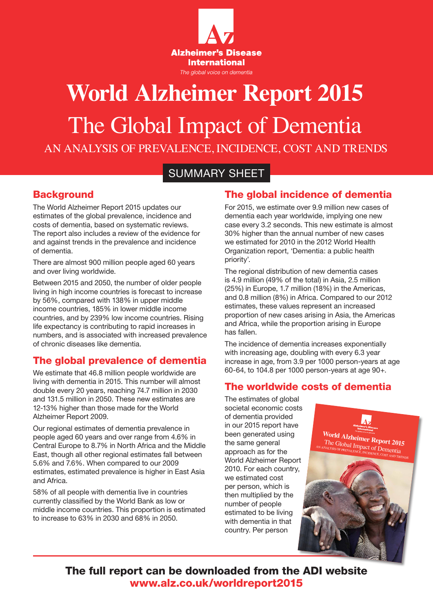

# **World Alzheimer Report 2015** The Global Impact of Dementia AN ANALYSIS OF PREVALENCE, INCIDENCE, COST AND TRENDS

# SUMMARY SHEET

### **Background**

The World Alzheimer Report 2015 updates our estimates of the global prevalence, incidence and costs of dementia, based on systematic reviews. The report also includes a review of the evidence for and against trends in the prevalence and incidence of dementia.

There are almost 900 million people aged 60 years and over living worldwide.

Between 2015 and 2050, the number of older people living in high income countries is forecast to increase by 56%, compared with 138% in upper middle income countries, 185% in lower middle income countries, and by 239% low income countries. Rising life expectancy is contributing to rapid increases in numbers, and is associated with increased prevalence of chronic diseases like dementia.

## The global prevalence of dementia

We estimate that 46.8 million people worldwide are living with dementia in 2015. This number will almost double every 20 years, reaching 74.7 million in 2030 and 131.5 million in 2050. These new estimates are 12-13% higher than those made for the World Alzheimer Report 2009.

Our regional estimates of dementia prevalence in people aged 60 years and over range from 4.6% in Central Europe to 8.7% in North Africa and the Middle East, though all other regional estimates fall between 5.6% and 7.6%. When compared to our 2009 estimates, estimated prevalence is higher in East Asia and Africa.

58% of all people with dementia live in countries currently classified by the World Bank as low or middle income countries. This proportion is estimated to increase to 63% in 2030 and 68% in 2050.

### The global incidence of dementia

For 2015, we estimate over 9.9 million new cases of dementia each year worldwide, implying one new case every 3.2 seconds. This new estimate is almost 30% higher than the annual number of new cases we estimated for 2010 in the 2012 World Health Organization report, 'Dementia: a public health priority'.

The regional distribution of new dementia cases is 4.9 million (49% of the total) in Asia, 2.5 million (25%) in Europe, 1.7 million (18%) in the Americas, and 0.8 million (8%) in Africa. Compared to our 2012 estimates, these values represent an increased proportion of new cases arising in Asia, the Americas and Africa, while the proportion arising in Europe has fallen.

The incidence of dementia increases exponentially with increasing age, doubling with every 6.3 year increase in age, from 3.9 per 1000 person-years at age 60-64, to 104.8 per 1000 person-years at age 90+.

### The worldwide costs of dementia

The estimates of global societal economic costs of dementia provided in our 2015 report have been generated using the same general approach as for the World Alzheimer Report 2010. For each country, we estimated cost per person, which is then multiplied by the number of people estimated to be living with dementia in that country. Per person



**World Alzheimer Report 2015** The Global Impact of Dementia



The full report can be downloaded from the ADI website www.alz.co.uk/worldreport2015